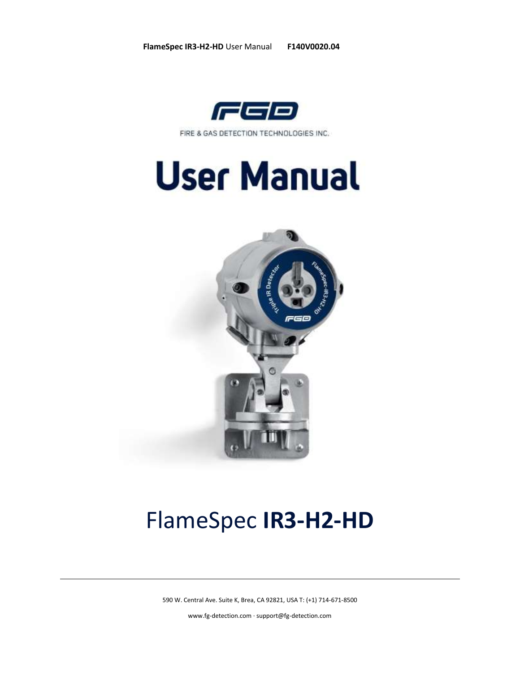

FIRE & GAS DETECTION TECHNOLOGIES INC.





# FlameSpec **IR3-H2-HD**

590 W. Central Ave. Suite K, Brea, CA 92821, USA T: (+1) 714-671-8500

[www.fg-detection.com](http://www.fg-detection.com/) · support@fg-detection.com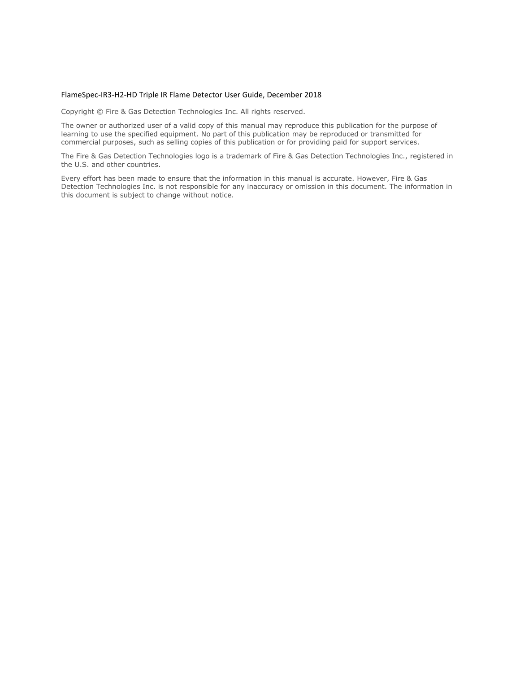#### FlameSpec-IR3-H2-HD Triple IR Flame Detector User Guide, December 2018

Copyright © Fire & Gas Detection Technologies Inc. All rights reserved.

The owner or authorized user of a valid copy of this manual may reproduce this publication for the purpose of learning to use the specified equipment. No part of this publication may be reproduced or transmitted for commercial purposes, such as selling copies of this publication or for providing paid for support services.

The Fire & Gas Detection Technologies logo is a trademark of Fire & Gas Detection Technologies Inc., registered in the U.S. and other countries.

Every effort has been made to ensure that the information in this manual is accurate. However, Fire & Gas Detection Technologies Inc. is not responsible for any inaccuracy or omission in this document. The information in this document is subject to change without notice.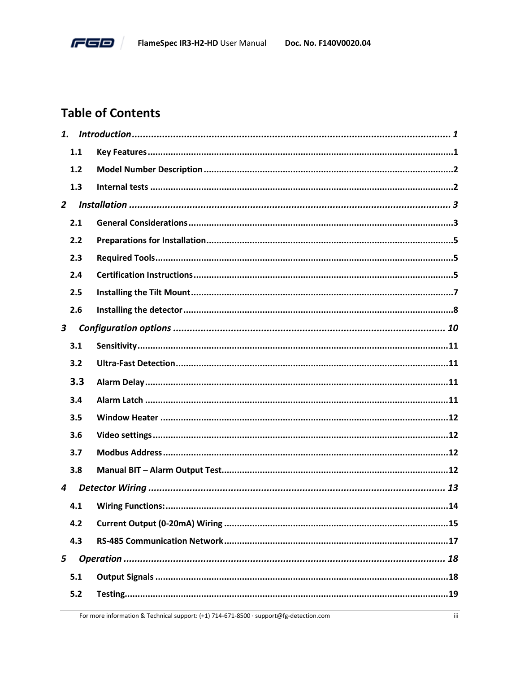

# **Table of Contents**

| 1.             |     |  |
|----------------|-----|--|
|                | 1.1 |  |
|                | 1.2 |  |
|                | 1.3 |  |
| $\overline{2}$ |     |  |
|                | 2.1 |  |
|                | 2.2 |  |
|                | 2.3 |  |
|                | 2.4 |  |
|                | 2.5 |  |
|                | 2.6 |  |
| $\mathbf{3}$   |     |  |
|                | 3.1 |  |
|                | 3.2 |  |
|                | 3.3 |  |
|                | 3.4 |  |
|                | 3.5 |  |
|                | 3.6 |  |
|                | 3.7 |  |
|                | 3.8 |  |
| 4              |     |  |
|                | 4.1 |  |
|                | 4.2 |  |
|                | 4.3 |  |
| 5              |     |  |
|                | 5.1 |  |
|                | 5.2 |  |
|                |     |  |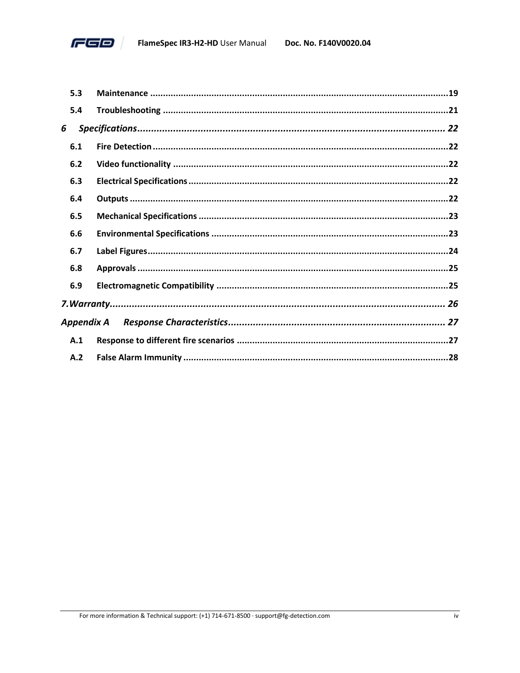

|   | 5.3        |  |
|---|------------|--|
|   | 5.4        |  |
| 6 |            |  |
|   | 6.1        |  |
|   | 6.2        |  |
|   | 6.3        |  |
|   | 6.4        |  |
|   | 6.5        |  |
|   | 6.6        |  |
|   | 6.7        |  |
|   | 6.8        |  |
|   | 6.9        |  |
|   |            |  |
|   | Appendix A |  |
|   | A.1        |  |
|   | A.2        |  |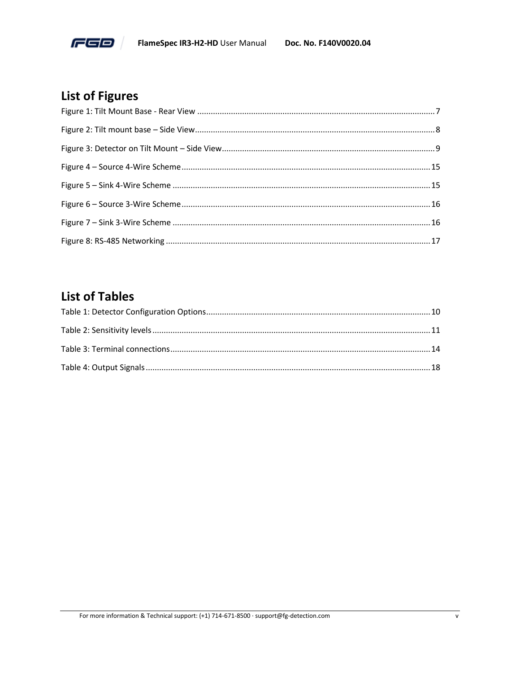

# **List of Figures**

# **List of Tables**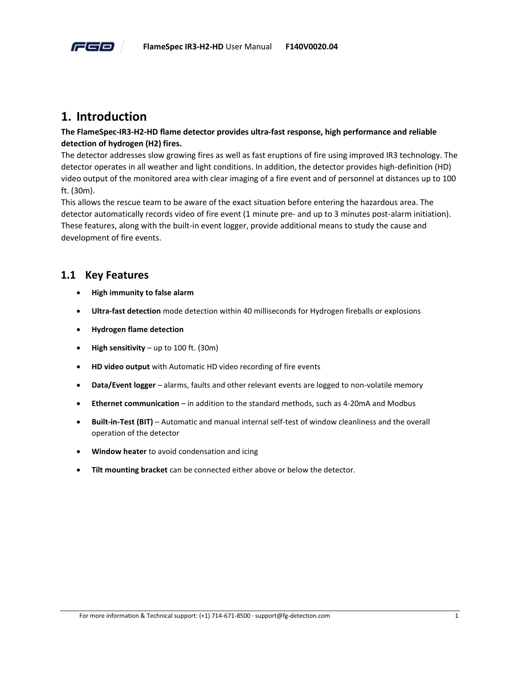

# <span id="page-5-0"></span>**1. Introduction**

#### **The FlameSpec-IR3-H2-HD flame detector provides ultra-fast response, high performance and reliable detection of hydrogen (H2) fires.**

The detector addresses slow growing fires as well as fast eruptions of fire using improved IR3 technology. The detector operates in all weather and light conditions. In addition, the detector provides high-definition (HD) video output of the monitored area with clear imaging of a fire event and of personnel at distances up to 100 ft. (30m).

This allows the rescue team to be aware of the exact situation before entering the hazardous area. The detector automatically records video of fire event (1 minute pre- and up to 3 minutes post-alarm initiation). These features, along with the built-in event logger, provide additional means to study the cause and development of fire events.

#### <span id="page-5-1"></span>**1.1 Key Features**

- **High immunity to false alarm**
- **Ultra-fast detection** mode detection within 40 milliseconds for Hydrogen fireballs or explosions
- **Hydrogen flame detection**
- **High sensitivity** up to 100 ft. (30m)
- **HD video output** with Automatic HD video recording of fire events
- **Data/Event logger** alarms, faults and other relevant events are logged to non-volatile memory
- **Ethernet communication** in addition to the standard methods, such as 4-20mA and Modbus
- **Built-in-Test (BIT)** Automatic and manual internal self-test of window cleanliness and the overall operation of the detector
- **Window heater** to avoid condensation and icing
- **Tilt mounting bracket** can be connected either above or below the detector.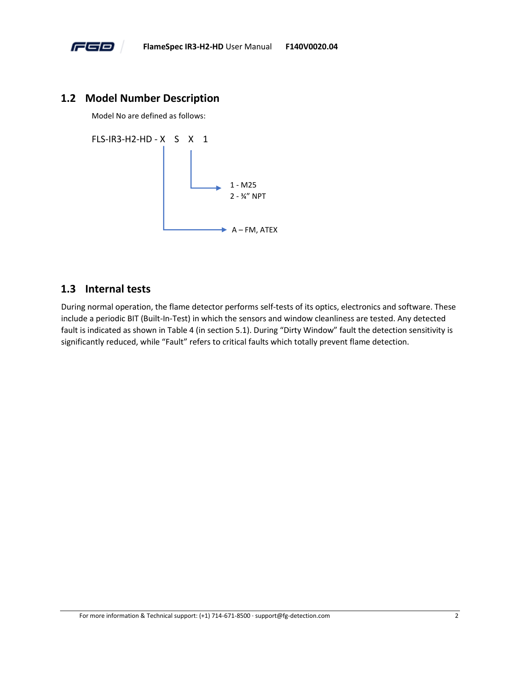

#### <span id="page-6-0"></span>**1.2 Model Number Description**

Model No are defined as follows:

FLS-IR3-H2-HD - X S X 1



#### <span id="page-6-1"></span>**1.3 Internal tests**

During normal operation, the flame detector performs self-tests of its optics, electronics and software. These include a periodic BIT (Built-In-Test) in which the sensors and window cleanliness are tested. Any detected fault is indicated as shown in [Table 4](#page-22-2) (in section [5.1\)](#page-22-1). During "Dirty Window" fault the detection sensitivity is significantly reduced, while "Fault" refers to critical faults which totally prevent flame detection.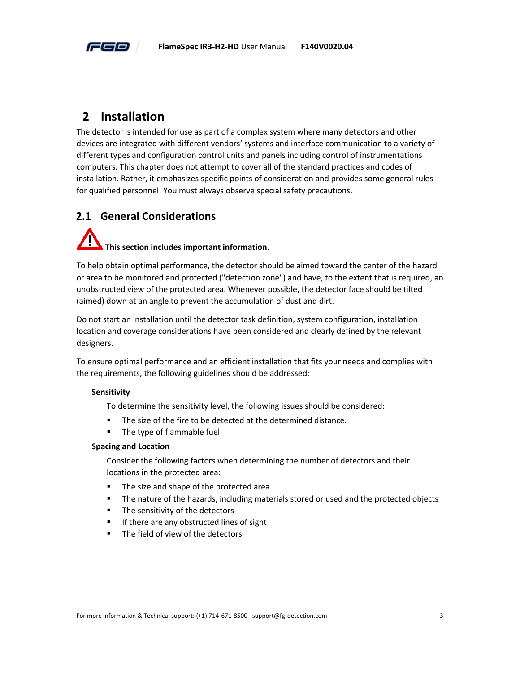

# <span id="page-7-0"></span>**2 Installation**

The detector is intended for use as part of a complex system where many detectors and other devices are integrated with different vendors' systems and interface communication to a variety of different types and configuration control units and panels including control of instrumentations computers. This chapter does not attempt to cover all of the standard practices and codes of installation. Rather, it emphasizes specific points of consideration and provides some general rules for qualified personnel. You must always observe special safety precautions.

# <span id="page-7-1"></span>**2.1 General Considerations**

# **This section includes important information.**

To help obtain optimal performance, the detector should be aimed toward the center of the hazard or area to be monitored and protected ("detection zone") and have, to the extent that is required, an unobstructed view of the protected area. Whenever possible, the detector face should be tilted (aimed) down at an angle to prevent the accumulation of dust and dirt.

Do not start an installation until the detector task definition, system configuration, installation location and coverage considerations have been considered and clearly defined by the relevant designers.

To ensure optimal performance and an efficient installation that fits your needs and complies with the requirements, the following guidelines should be addressed:

#### **Sensitivity**

To determine the sensitivity level, the following issues should be considered:

- The size of the fire to be detected at the determined distance.
- The type of flammable fuel.

#### **Spacing and Location**

Consider the following factors when determining the number of detectors and their locations in the protected area:

- The size and shape of the protected area
- **•** The nature of the hazards, including materials stored or used and the protected objects
- The sensitivity of the detectors
- If there are any obstructed lines of sight
- The field of view of the detectors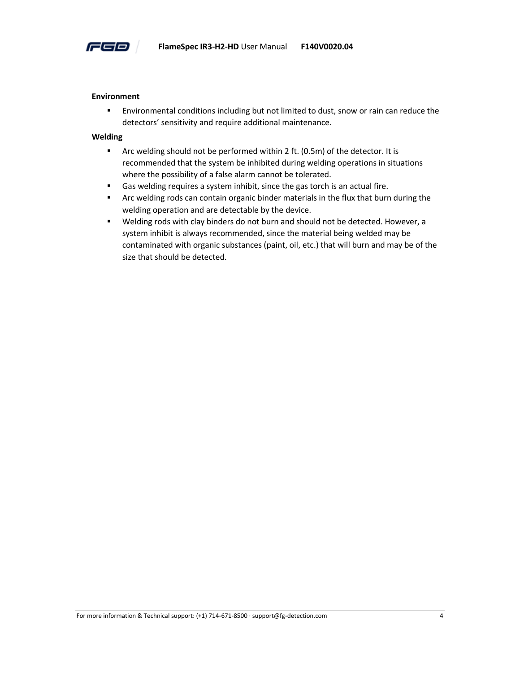

#### **Environment**

**Environmental conditions including but not limited to dust, snow or rain can reduce the** detectors' sensitivity and require additional maintenance.

#### **Welding**

- Arc welding should not be performed within 2 ft. (0.5m) of the detector. It is recommended that the system be inhibited during welding operations in situations where the possibility of a false alarm cannot be tolerated.
- Gas welding requires a system inhibit, since the gas torch is an actual fire.
- **■** Arc welding rods can contain organic binder materials in the flux that burn during the welding operation and are detectable by the device.
- Welding rods with clay binders do not burn and should not be detected. However, a system inhibit is always recommended, since the material being welded may be contaminated with organic substances (paint, oil, etc.) that will burn and may be of the size that should be detected.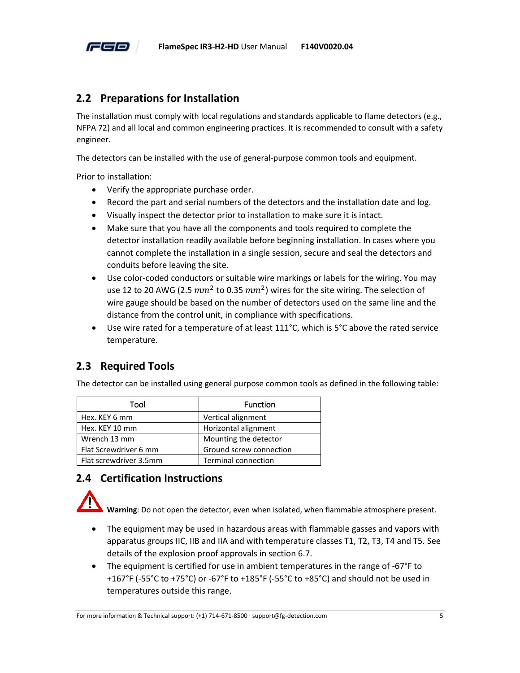

# <span id="page-9-0"></span>**2.2 Preparations for Installation**

The installation must comply with local regulations and standards applicable to flame detectors (e.g., NFPA 72) and all local and common engineering practices. It is recommended to consult with a safety engineer.

The detectors can be installed with the use of general-purpose common tools and equipment.

Prior to installation:

- Verify the appropriate purchase order.
- Record the part and serial numbers of the detectors and the installation date and log.
- Visually inspect the detector prior to installation to make sure it is intact.
- Make sure that you have all the components and tools required to complete the detector installation readily available before beginning installation. In cases where you cannot complete the installation in a single session, secure and seal the detectors and conduits before leaving the site.
- Use color-coded conductors or suitable wire markings or labels for the wiring. You may use 12 to 20 AWG (2.5  $mm^2$  to 0.35  $mm^2$ ) wires for the site wiring. The selection of wire gauge should be based on the number of detectors used on the same line and the distance from the control unit, in compliance with specifications.
- Use wire rated for a temperature of at least 111°C, which is 5°C above the rated service temperature.

# <span id="page-9-1"></span>**2.3 Required Tools**

The detector can be installed using general purpose common tools as defined in the following table:

| Tool                   | <b>Function</b>            |
|------------------------|----------------------------|
| Hex. KEY 6 mm          | Vertical alignment         |
| Hex. KEY 10 mm         | Horizontal alignment       |
| Wrench 13 mm           | Mounting the detector      |
| Flat Screwdriver 6 mm  | Ground screw connection    |
| Flat screwdriver 3.5mm | <b>Terminal connection</b> |

# <span id="page-9-2"></span>**2.4 Certification Instructions**

**Warning**: Do not open the detector, even when isolated, when flammable atmosphere present.

- The equipment may be used in hazardous areas with flammable gasses and vapors with apparatus groups IIC, IIB and IIA and with temperature classes T1, T2, T3, T4 and T5. See details of the explosion proof approvals in section [6.7.](#page-28-0)
- The equipment is certified for use in ambient temperatures in the range of -67°F to +167°F (-55°C to +75°C) or -67°F to +185°F (-55°C to +85°C) and should not be used in temperatures outside this range.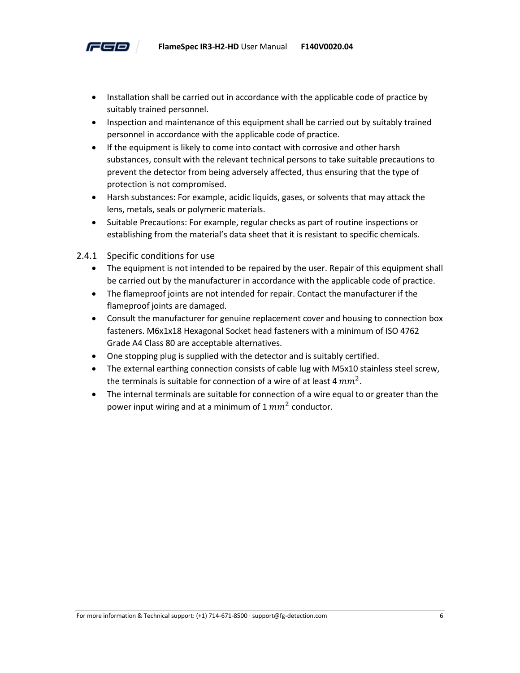

- Installation shall be carried out in accordance with the applicable code of practice by suitably trained personnel.
- Inspection and maintenance of this equipment shall be carried out by suitably trained personnel in accordance with the applicable code of practice.
- If the equipment is likely to come into contact with corrosive and other harsh substances, consult with the relevant technical persons to take suitable precautions to prevent the detector from being adversely affected, thus ensuring that the type of protection is not compromised.
- Harsh substances: For example, acidic liquids, gases, or solvents that may attack the lens, metals, seals or polymeric materials.
- Suitable Precautions: For example, regular checks as part of routine inspections or establishing from the material's data sheet that it is resistant to specific chemicals.
- 2.4.1 Specific conditions for use
	- The equipment is not intended to be repaired by the user. Repair of this equipment shall be carried out by the manufacturer in accordance with the applicable code of practice.
	- The flameproof joints are not intended for repair. Contact the manufacturer if the flameproof joints are damaged.
	- Consult the manufacturer for genuine replacement cover and housing to connection box fasteners. M6x1x18 Hexagonal Socket head fasteners with a minimum of ISO 4762 Grade A4 Class 80 are acceptable alternatives.
	- One stopping plug is supplied with the detector and is suitably certified.
	- The external earthing connection consists of cable lug with M5x10 stainless steel screw, the terminals is suitable for connection of a wire of at least 4  $mm^2$ .
	- The internal terminals are suitable for connection of a wire equal to or greater than the power input wiring and at a minimum of 1  $mm^2$  conductor.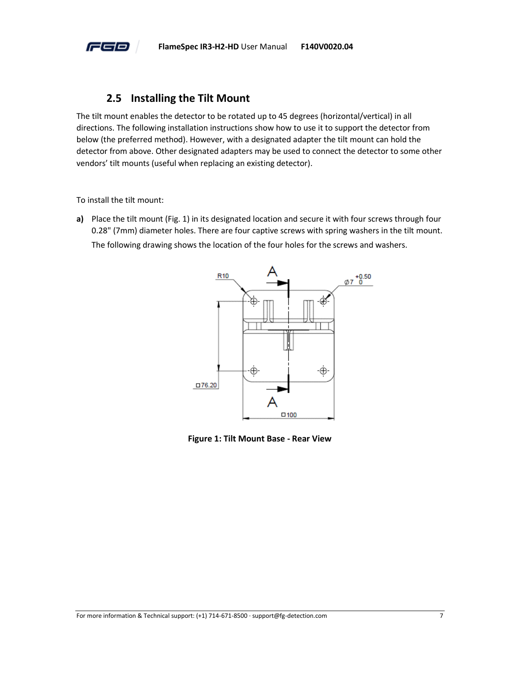

#### **2.5 Installing the Tilt Mount**

<span id="page-11-0"></span>The tilt mount enables the detector to be rotated up to 45 degrees (horizontal/vertical) in all directions. The following installation instructions show how to use it to support the detector from below (the preferred method). However, with a designated adapter the tilt mount can hold the detector from above. Other designated adapters may be used to connect the detector to some other vendors' tilt mounts (useful when replacing an existing detector).

To install the tilt mount:

**a)** Place the tilt mount (Fig. 1) in its designated location and secure it with four screws through four 0.28" (7mm) diameter holes. There are four captive screws with spring washers in the tilt mount. The following drawing shows the location of the four holes for the screws and washers.



<span id="page-11-1"></span>**Figure 1: Tilt Mount Base - Rear View**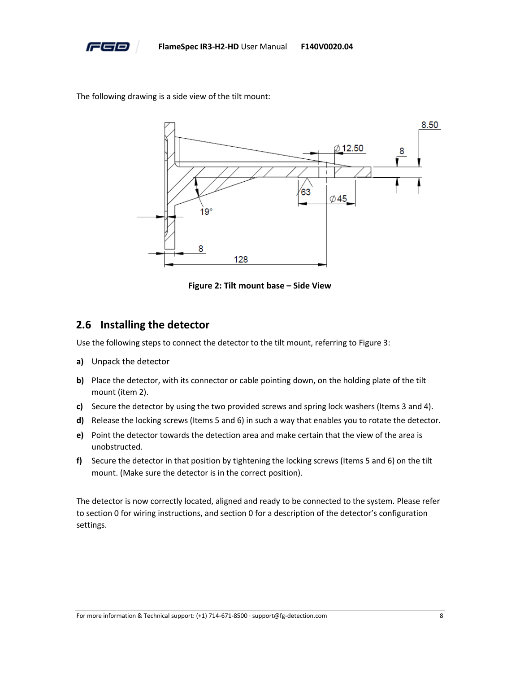

The following drawing is a side view of the tilt mount:



**Figure 2: Tilt mount base – Side View**

#### <span id="page-12-1"></span><span id="page-12-0"></span>**2.6 Installing the detector**

Use the following steps to connect the detector to the tilt mount, referring t[o Figure 3:](#page-13-0)

- **a)** Unpack the detector
- **b)** Place the detector, with its connector or cable pointing down, on the holding plate of the tilt mount (item 2).
- **c)** Secure the detector by using the two provided screws and spring lock washers (Items 3 and 4).
- **d)** Release the locking screws (Items 5 and 6) in such a way that enables you to rotate the detector.
- **e)** Point the detector towards the detection area and make certain that the view of the area is unobstructed.
- **f)** Secure the detector in that position by tightening the locking screws (Items 5 and 6) on the tilt mount. (Make sure the detector is in the correct position).

The detector is now correctly located, aligned and ready to be connected to the system. Please refer to sectio[n 0](#page-16-4) for wiring instructions, and sectio[n 0](#page-13-1) for a description of the detector's configuration settings.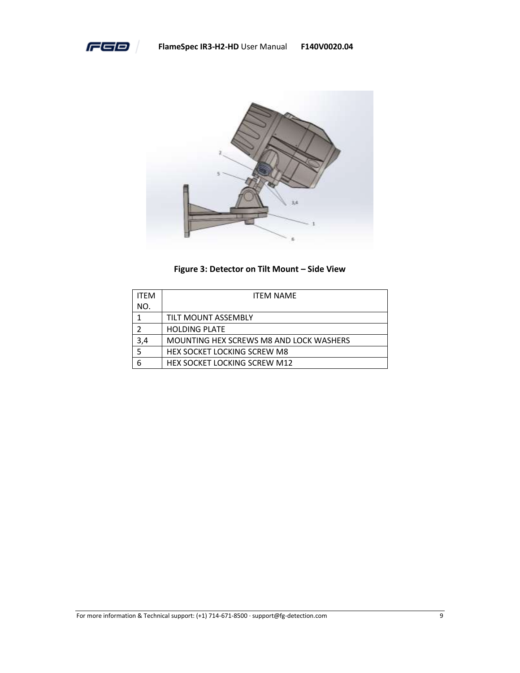



#### **Figure 3: Detector on Tilt Mount - Side View**

<span id="page-13-1"></span><span id="page-13-0"></span>

| <b>ITFM</b> | <b>ITFM NAMF</b>                        |  |  |  |
|-------------|-----------------------------------------|--|--|--|
| NO.         |                                         |  |  |  |
|             | TILT MOUNT ASSEMBLY                     |  |  |  |
| 7           | <b>HOLDING PLATE</b>                    |  |  |  |
| 3,4         | MOUNTING HEX SCREWS M8 AND LOCK WASHERS |  |  |  |
| 5           | <b>HEX SOCKET LOCKING SCREW M8</b>      |  |  |  |
| 6           | HEX SOCKET LOCKING SCREW M12            |  |  |  |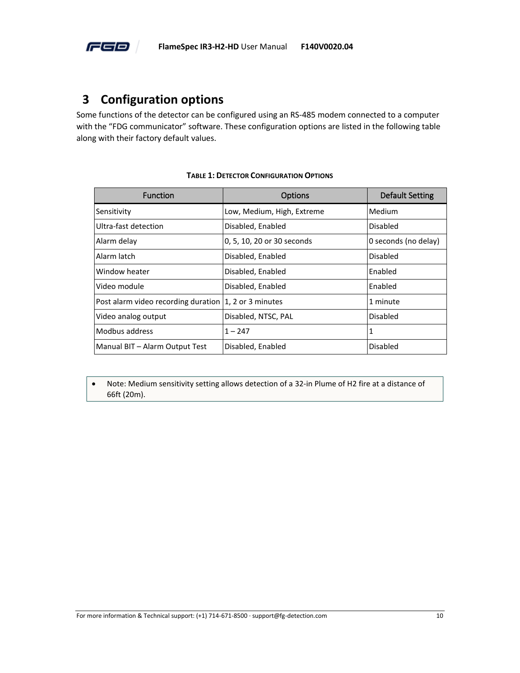

# <span id="page-14-0"></span>**3 Configuration options**

Some functions of the detector can be configured using an RS-485 modem connected to a computer with the "FDG communicator" software. These configuration options are listed in the following table along with their factory default values.

<span id="page-14-1"></span>

| <b>Function</b>                                         | Options                    | Default Setting      |
|---------------------------------------------------------|----------------------------|----------------------|
| Sensitivity                                             | Low, Medium, High, Extreme | Medium               |
| Ultra-fast detection                                    | Disabled, Enabled          | Disabled             |
| Alarm delay                                             | 0, 5, 10, 20 or 30 seconds | 0 seconds (no delay) |
| Alarm latch                                             | Disabled, Enabled          | Disabled             |
| Window heater                                           | Disabled, Enabled          | Enabled              |
| Video module                                            | Disabled, Enabled          | Enabled              |
| Post alarm video recording duration   1, 2 or 3 minutes |                            | 1 minute             |
| Video analog output                                     | Disabled, NTSC, PAL        | Disabled             |
| Modbus address                                          | $1 - 247$                  | 1                    |
| Manual BIT - Alarm Output Test                          | Disabled, Enabled          | <b>Disabled</b>      |

#### **TABLE 1: DETECTOR CONFIGURATION OPTIONS**

• Note: Medium sensitivity setting allows detection of a 32-in Plume of H2 fire at a distance of 66ft (20m).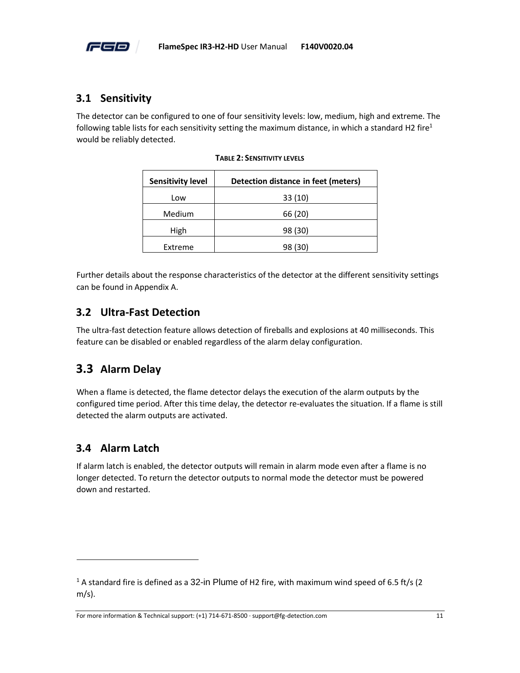

# <span id="page-15-0"></span>**3.1 Sensitivity**

<span id="page-15-4"></span>The detector can be configured to one of four sensitivity levels: low, medium, high and extreme. The following table lists for each sensitivity setting the maximum distance, in which a standard H2 fire<sup>1</sup> would be reliably detected.

| <b>Sensitivity level</b> | Detection distance in feet (meters) |
|--------------------------|-------------------------------------|
| Low                      | 33 (10)                             |
| Medium                   | 66 (20)                             |
| High                     | 98 (30)                             |
| Extreme                  | 98 (30)                             |

|  |  |  |  | <b>TABLE 2: SENSITIVITY LEVELS</b> |
|--|--|--|--|------------------------------------|
|--|--|--|--|------------------------------------|

Further details about the response characteristics of the detector at the different sensitivity settings can be found i[n Appendix A.](#page-31-0)

### <span id="page-15-1"></span>**3.2 Ultra-Fast Detection**

The ultra-fast detection feature allows detection of fireballs and explosions at 40 milliseconds. This feature can be disabled or enabled regardless of the alarm delay configuration.

# <span id="page-15-2"></span>**3.3 Alarm Delay**

When a flame is detected, the flame detector delays the execution of the alarm outputs by the configured time period. After this time delay, the detector re-evaluates the situation. If a flame is still detected the alarm outputs are activated.

# <span id="page-15-3"></span>**3.4 Alarm Latch**

If alarm latch is enabled, the detector outputs will remain in alarm mode even after a flame is no longer detected. To return the detector outputs to normal mode the detector must be powered down and restarted.

For more information & Technical support: (+1) 714-671-8500 · support@fg-detection.com 11

<sup>&</sup>lt;sup>1</sup> A standard fire is defined as a 32-in Plume of H2 fire, with maximum wind speed of 6.5 ft/s (2 m/s).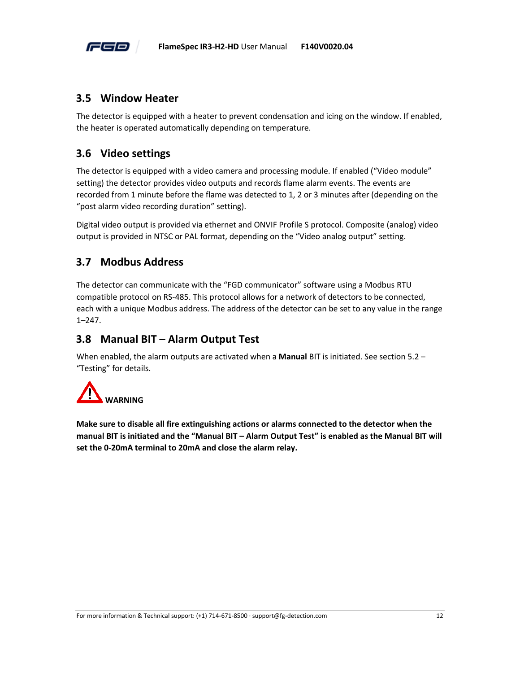

#### <span id="page-16-0"></span>**3.5 Window Heater**

The detector is equipped with a heater to prevent condensation and icing on the window. If enabled, the heater is operated automatically depending on temperature.

# <span id="page-16-1"></span>**3.6 Video settings**

The detector is equipped with a video camera and processing module. If enabled ("Video module" setting) the detector provides video outputs and records flame alarm events. The events are recorded from 1 minute before the flame was detected to 1, 2 or 3 minutes after (depending on the "post alarm video recording duration" setting).

Digital video output is provided via ethernet and ONVIF Profile S protocol. Composite (analog) video output is provided in NTSC or PAL format, depending on the "Video analog output" setting.

# <span id="page-16-2"></span>**3.7 Modbus Address**

The detector can communicate with the "FGD communicator" software using a Modbus RTU compatible protocol on RS-485. This protocol allows for a network of detectors to be connected, each with a unique Modbus address. The address of the detector can be set to any value in the range 1–247.

## <span id="page-16-3"></span>**3.8 Manual BIT – Alarm Output Test**

When enabled, the alarm outputs are activated when a **Manual** BIT is initiated. See section [5.2](#page-23-0) – "[Testing](#page-23-0)" for details.



<span id="page-16-4"></span>**Make sure to disable all fire extinguishing actions or alarms connected to the detector when the manual BIT is initiated and the "Manual BIT – Alarm Output Test" is enabled as the Manual BIT will set the 0-20mA terminal to 20mA and close the alarm relay.**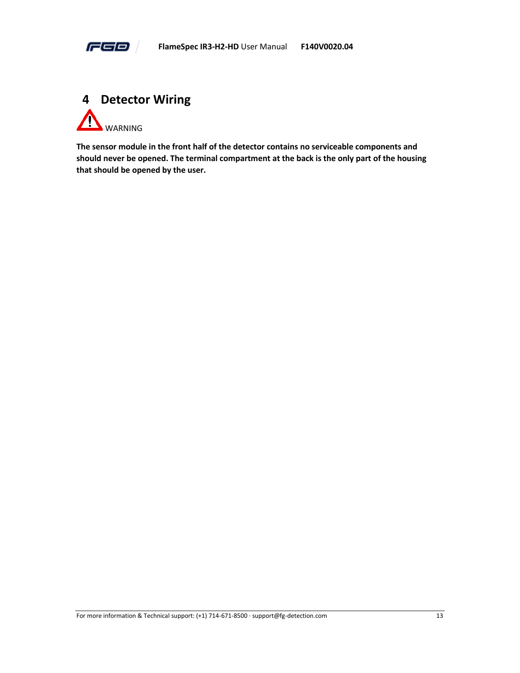

<span id="page-17-0"></span>

**The sensor module in the front half of the detector contains no serviceable components and should never be opened. The terminal compartment at the back is the only part of the housing that should be opened by the user.**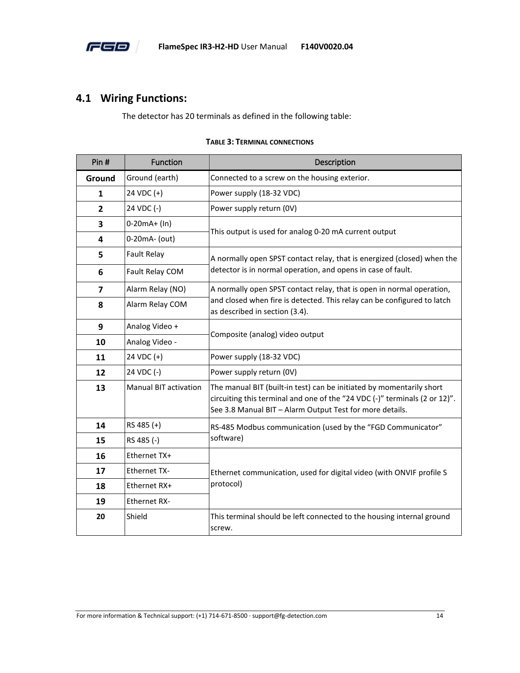

# <span id="page-18-0"></span>**4.1 Wiring Functions:**

The detector has 20 terminals as defined in the following table:

<span id="page-18-1"></span>

| Pin#         | Function                     | Description                                                                                                                                                                                                    |  |
|--------------|------------------------------|----------------------------------------------------------------------------------------------------------------------------------------------------------------------------------------------------------------|--|
| Ground       | Ground (earth)               | Connected to a screw on the housing exterior.                                                                                                                                                                  |  |
| 1            | 24 VDC (+)                   | Power supply (18-32 VDC)                                                                                                                                                                                       |  |
| $\mathbf{2}$ | 24 VDC (-)                   | Power supply return (0V)                                                                                                                                                                                       |  |
| 3            | $0-20mA+ (In)$               |                                                                                                                                                                                                                |  |
| 4            | 0-20mA- (out)                | This output is used for analog 0-20 mA current output                                                                                                                                                          |  |
| 5            | <b>Fault Relay</b>           | A normally open SPST contact relay, that is energized (closed) when the                                                                                                                                        |  |
| 6            | Fault Relay COM              | detector is in normal operation, and opens in case of fault.                                                                                                                                                   |  |
| 7            | Alarm Relay (NO)             | A normally open SPST contact relay, that is open in normal operation,                                                                                                                                          |  |
| 8            | Alarm Relay COM              | and closed when fire is detected. This relay can be configured to latch<br>as described in section (3.4).                                                                                                      |  |
| 9            | Analog Video +               |                                                                                                                                                                                                                |  |
| 10           | Analog Video -               | Composite (analog) video output                                                                                                                                                                                |  |
| 11           | 24 VDC (+)                   | Power supply (18-32 VDC)                                                                                                                                                                                       |  |
| 12           | 24 VDC (-)                   | Power supply return (0V)                                                                                                                                                                                       |  |
| 13           | <b>Manual BIT activation</b> | The manual BIT (built-in test) can be initiated by momentarily short<br>circuiting this terminal and one of the "24 VDC (-)" terminals (2 or 12)".<br>See 3.8 Manual BIT - Alarm Output Test for more details. |  |
| 14           | RS 485 (+)                   | RS-485 Modbus communication (used by the "FGD Communicator"                                                                                                                                                    |  |
| 15           | RS 485 (-)                   | software)                                                                                                                                                                                                      |  |
| 16           | Ethernet TX+                 |                                                                                                                                                                                                                |  |
| 17           | <b>Ethernet TX-</b>          | Ethernet communication, used for digital video (with ONVIF profile S                                                                                                                                           |  |
| 18           | Ethernet RX+                 | protocol)                                                                                                                                                                                                      |  |
| 19           | <b>Ethernet RX-</b>          |                                                                                                                                                                                                                |  |
| 20           | Shield                       | This terminal should be left connected to the housing internal ground<br>screw.                                                                                                                                |  |

#### **TABLE 3: TERMINAL CONNECTIONS**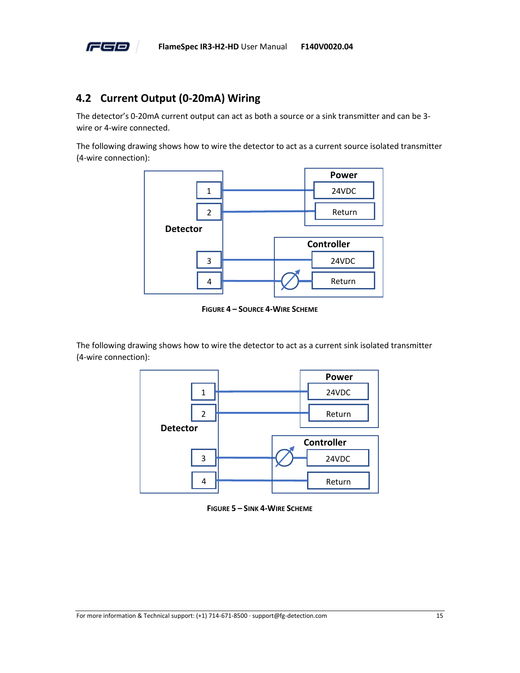

## <span id="page-19-0"></span>**4.2 Current Output (0-20mA) Wiring**

The detector's 0-20mA current output can act as both a source or a sink transmitter and can be 3 wire or 4-wire connected.

The following drawing shows how to wire the detector to act as a current source isolated transmitter (4-wire connection):



**FIGURE 4 – SOURCE 4-WIRE SCHEME**

<span id="page-19-1"></span>The following drawing shows how to wire the detector to act as a current sink isolated transmitter (4-wire connection):



<span id="page-19-2"></span>**FIGURE 5 – SINK 4-WIRE SCHEME**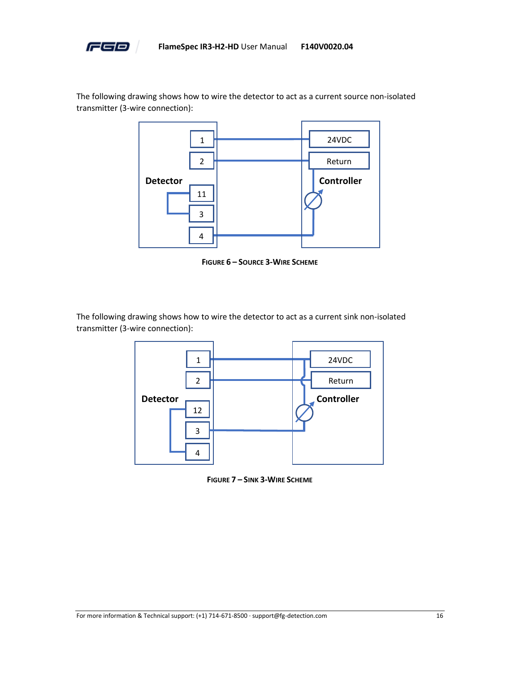

The following drawing shows how to wire the detector to act as a current source non-isolated transmitter (3-wire connection):



**FIGURE 6 – SOURCE 3-WIRE SCHEME**

<span id="page-20-0"></span>The following drawing shows how to wire the detector to act as a current sink non-isolated transmitter (3-wire connection):



<span id="page-20-1"></span>**FIGURE 7 – SINK 3-WIRE SCHEME**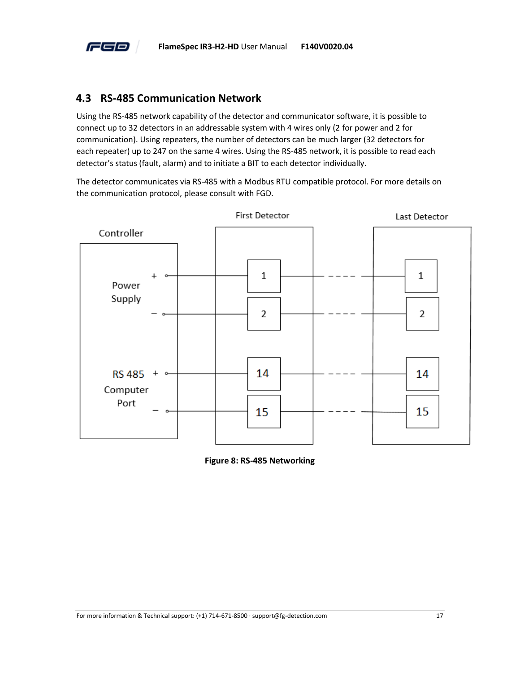

#### <span id="page-21-0"></span>**4.3 RS-485 Communication Network**

Using the RS-485 network capability of the detector and communicator software, it is possible to connect up to 32 detectors in an addressable system with 4 wires only (2 for power and 2 for communication). Using repeaters, the number of detectors can be much larger (32 detectors for each repeater) up to 247 on the same 4 wires. Using the RS-485 network, it is possible to read each detector's status (fault, alarm) and to initiate a BIT to each detector individually.

The detector communicates via RS-485 with a Modbus RTU compatible protocol. For more details on the communication protocol, please consult with FGD.



<span id="page-21-1"></span>**Figure 8: RS-485 Networking**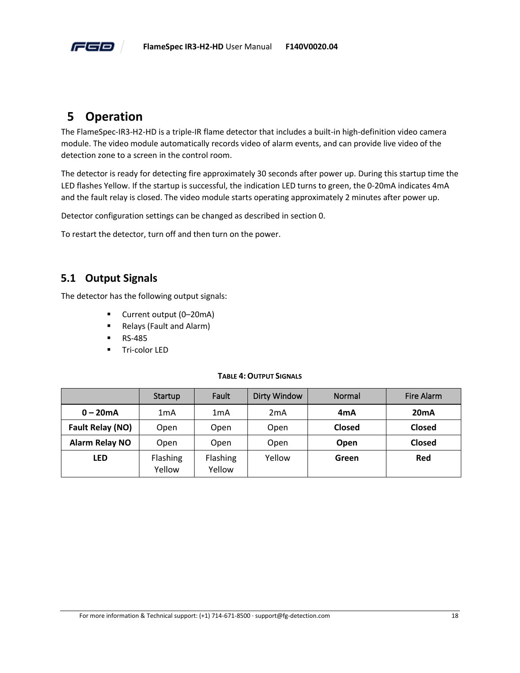

# <span id="page-22-0"></span>**5 Operation**

The FlameSpec-IR3-H2-HD is a triple-IR flame detector that includes a built-in high-definition video camera module. The video module automatically records video of alarm events, and can provide live video of the detection zone to a screen in the control room.

The detector is ready for detecting fire approximately 30 seconds after power up. During this startup time the LED flashes Yellow. If the startup is successful, the indication LED turns to green, the 0-20mA indicates 4mA and the fault relay is closed. The video module starts operating approximately 2 minutes after power up.

Detector configuration settings can be changed as described in sectio[n 0.](#page-13-1)

To restart the detector, turn off and then turn on the power.

### <span id="page-22-1"></span>**5.1 Output Signals**

The detector has the following output signals:

- Current output (0–20mA)
- Relays (Fault and Alarm)
- RS-485
- Tri-color LED

#### **TABLE 4:OUTPUT SIGNALS**

<span id="page-22-2"></span>

|                       | Startup            | Fault              | <b>Dirty Window</b> | Normal        | Fire Alarm    |
|-----------------------|--------------------|--------------------|---------------------|---------------|---------------|
| $0 - 20mA$            | 1mA                | 1mA                | 2 <sub>m</sub> A    | 4mA           | 20mA          |
| Fault Relay (NO)      | Open               | Open               | Open                | <b>Closed</b> | <b>Closed</b> |
| <b>Alarm Relay NO</b> | Open               | Open               | Open                | Open          | <b>Closed</b> |
| <b>LED</b>            | Flashing<br>Yellow | Flashing<br>Yellow | Yellow              | Green         | Red           |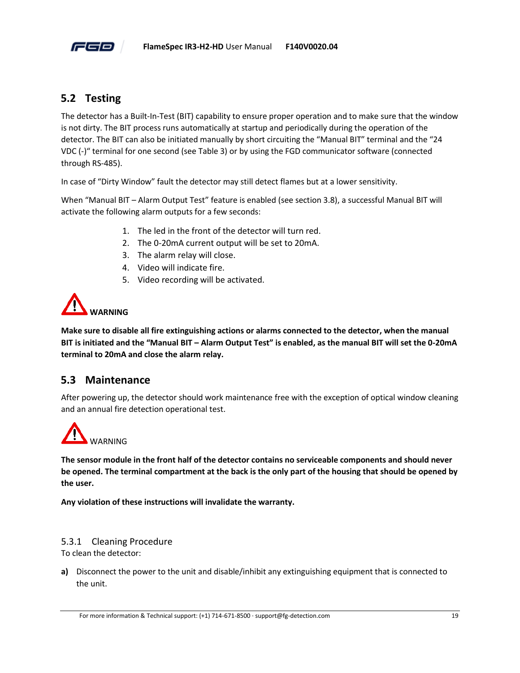

## <span id="page-23-0"></span>**5.2 Testing**

The detector has a Built-In-Test (BIT) capability to ensure proper operation and to make sure that the window is not dirty. The BIT process runs automatically at startup and periodically during the operation of the detector. The BIT can also be initiated manually by short circuiting the "Manual BIT" terminal and the "24 VDC (-)" terminal for one second (see [Table 3\)](#page-18-1) or by using the FGD communicator software (connected through RS-485).

In case of "Dirty Window" fault the detector may still detect flames but at a lower sensitivity.

When "Manual BIT – [Alarm Output Test](#page-16-3)" feature is enabled (see section [3.8\)](#page-16-3), a successful Manual BIT will activate the following alarm outputs for a few seconds:

- 1. The led in the front of the detector will turn red.
- 2. The 0-20mA current output will be set to 20mA.
- 3. The alarm relay will close.
- 4. Video will indicate fire.
- 5. Video recording will be activated.



**Make sure to disable all fire extinguishing actions or alarms connected to the detector, when the manual BIT is initiated and the "Manual BIT – Alarm Output Test" is enabled, as the manual BIT will set the 0-20mA terminal to 20mA and close the alarm relay.**

#### <span id="page-23-1"></span>**5.3 Maintenance**

After powering up, the detector should work maintenance free with the exception of optical window cleaning and an annual fire detection operational test.



**The sensor module in the front half of the detector contains no serviceable components and should never be opened. The terminal compartment at the back is the only part of the housing that should be opened by the user.** 

**Any violation of these instructions will invalidate the warranty.**

#### 5.3.1 Cleaning Procedure

To clean the detector:

**a)** Disconnect the power to the unit and disable/inhibit any extinguishing equipment that is connected to the unit.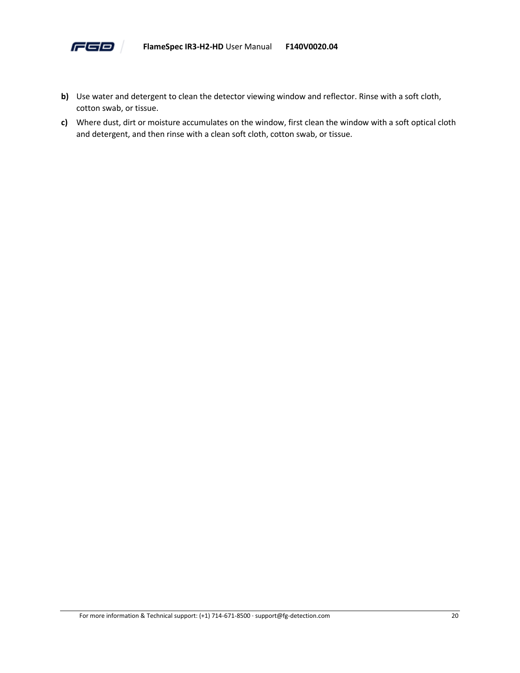

- **b)** Use water and detergent to clean the detector viewing window and reflector. Rinse with a soft cloth, cotton swab, or tissue.
- **c)** Where dust, dirt or moisture accumulates on the window, first clean the window with a soft optical cloth and detergent, and then rinse with a clean soft cloth, cotton swab, or tissue.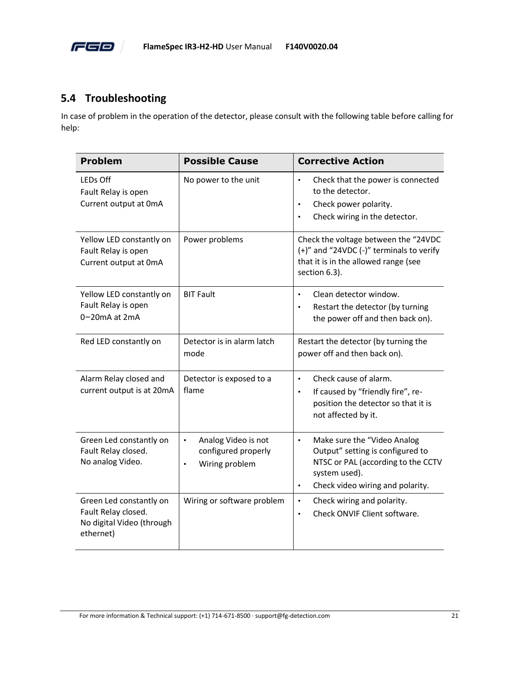

## <span id="page-25-0"></span>**5.4 Troubleshooting**

In case of problem in the operation of the detector, please consult with the following table before calling for help:

| <b>Problem</b>                                                                           | <b>Possible Cause</b>                                                                  | <b>Corrective Action</b>                                                                                                                                                             |
|------------------------------------------------------------------------------------------|----------------------------------------------------------------------------------------|--------------------------------------------------------------------------------------------------------------------------------------------------------------------------------------|
| <b>LEDs Off</b><br>Fault Relay is open<br>Current output at OmA                          | No power to the unit                                                                   | Check that the power is connected<br>$\bullet$<br>to the detector.<br>Check power polarity.<br>$\bullet$<br>Check wiring in the detector.                                            |
| Yellow LED constantly on<br>Fault Relay is open<br>Current output at OmA                 | Power problems                                                                         | Check the voltage between the "24VDC<br>(+)" and "24VDC (-)" terminals to verify<br>that it is in the allowed range (see<br>section 6.3).                                            |
| Yellow LED constantly on<br>Fault Relay is open<br>0-20mA at 2mA                         | <b>BIT Fault</b>                                                                       | Clean detector window.<br>$\bullet$<br>Restart the detector (by turning<br>$\bullet$<br>the power off and then back on).                                                             |
| Red LED constantly on                                                                    | Detector is in alarm latch<br>mode                                                     | Restart the detector (by turning the<br>power off and then back on).                                                                                                                 |
| Alarm Relay closed and<br>current output is at 20mA                                      | Detector is exposed to a<br>flame                                                      | Check cause of alarm.<br>$\bullet$<br>If caused by "friendly fire", re-<br>$\bullet$<br>position the detector so that it is<br>not affected by it.                                   |
| Green Led constantly on<br>Fault Relay closed.<br>No analog Video.                       | Analog Video is not<br>$\bullet$<br>configured properly<br>Wiring problem<br>$\bullet$ | Make sure the "Video Analog<br>$\bullet$<br>Output" setting is configured to<br>NTSC or PAL (according to the CCTV<br>system used).<br>Check video wiring and polarity.<br>$\bullet$ |
| Green Led constantly on<br>Fault Relay closed.<br>No digital Video (through<br>ethernet) | Wiring or software problem                                                             | Check wiring and polarity.<br>$\bullet$<br>Check ONVIF Client software.<br>$\bullet$                                                                                                 |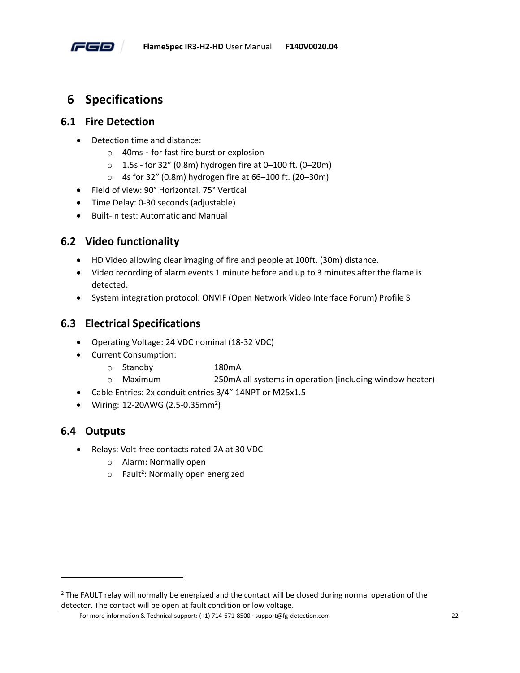

# <span id="page-26-0"></span>**6 Specifications**

#### <span id="page-26-1"></span>**6.1 Fire Detection**

- Detection time and distance:
	- o 40ms for fast fire burst or explosion
	- $\circ$  1.5s for 32" (0.8m) hydrogen fire at 0-100 ft. (0-20m)
	- o 4s for 32″ (0.8m) hydrogen fire at 66–100 ft. (20–30m)
- Field of view: 90° Horizontal, 75° Vertical
- Time Delay: 0-30 seconds (adjustable)
- Built-in test: Automatic and Manual

# <span id="page-26-2"></span>**6.2 Video functionality**

- HD Video allowing clear imaging of fire and people at 100ft. (30m) distance.
- Video recording of alarm events 1 minute before and up to 3 minutes after the flame is detected.
- System integration protocol: ONVIF (Open Network Video Interface Forum) Profile S

### <span id="page-26-3"></span>**6.3 Electrical Specifications**

- Operating Voltage: 24 VDC nominal (18-32 VDC)
- Current Consumption:
	- o Standby 180mA
	- o Maximum 250mA all systems in operation (including window heater)
- Cable Entries: 2x conduit entries 3/4" 14NPT or M25x1.5
- Wiring: 12-20AWG (2.5-0.35mm<sup>2</sup>)

#### <span id="page-26-4"></span>**6.4 Outputs**

- Relays: Volt-free contacts rated 2A at 30 VDC
	- o Alarm: Normally open
	- $\circ$  Fault<sup>2</sup>: Normally open energized

For more information & Technical support: (+1) 714-671-8500 · support@fg-detection.com 22

<sup>&</sup>lt;sup>2</sup> The FAULT relay will normally be energized and the contact will be closed during normal operation of the detector. The contact will be open at fault condition or low voltage.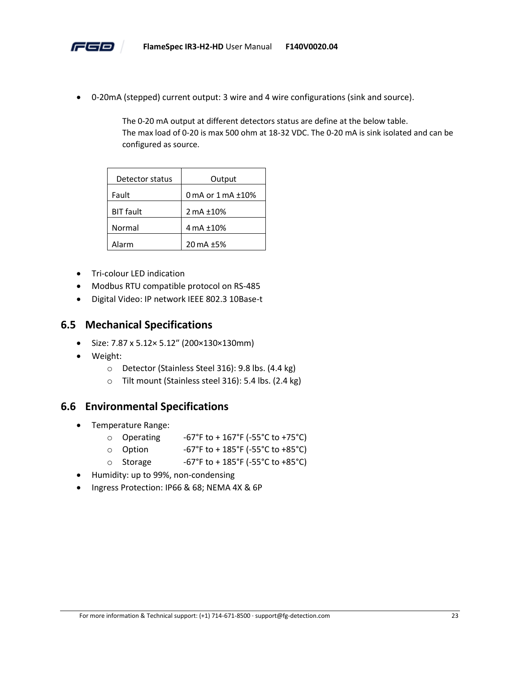

• 0-20mA (stepped) current output: 3 wire and 4 wire configurations (sink and source).

The 0-20 mA output at different detectors status are define at the below table. The max load of 0-20 is max 500 ohm at 18-32 VDC. The 0-20 mA is sink isolated and can be configured as source.

| Detector status  | Output                   |
|------------------|--------------------------|
| Fault            | 0 mA or $1$ mA $\pm$ 10% |
| <b>BIT fault</b> | 2 mA ±10%                |
| Normal           | 4 mA ±10%                |
| Alarm            | 20 mA ±5%                |

- Tri-colour LED indication
- Modbus RTU compatible protocol on RS-485
- Digital Video: IP network IEEE 802.3 10Base-t

#### <span id="page-27-0"></span>**6.5 Mechanical Specifications**

- Size: 7.87 x 5.12× 5.12″ (200×130×130mm)
- Weight:
	- o Detector (Stainless Steel 316): 9.8 lbs. (4.4 kg)
	- o Tilt mount (Stainless steel 316): 5.4 lbs. (2.4 kg)

#### <span id="page-27-1"></span>**6.6 Environmental Specifications**

- Temperature Range:
	- $\circ$  Operating -67°F to + 167°F (-55°C to +75°C)
	- $\circ$  Option -67°F to + 185°F (-55°C to +85°C)
	- Storage  $-67°$ F to + 185°F (-55°C to +85°C)
- Humidity: up to 99%, non-condensing
- Ingress Protection: IP66 & 68; NEMA 4X & 6P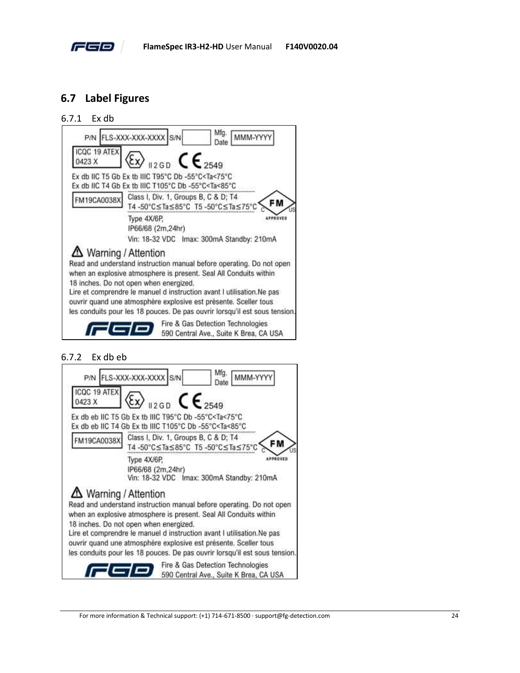

## <span id="page-28-0"></span>**6.7 Label Figures**

#### 6.7.1 Ex db



#### 6.7.2 Ex db eb

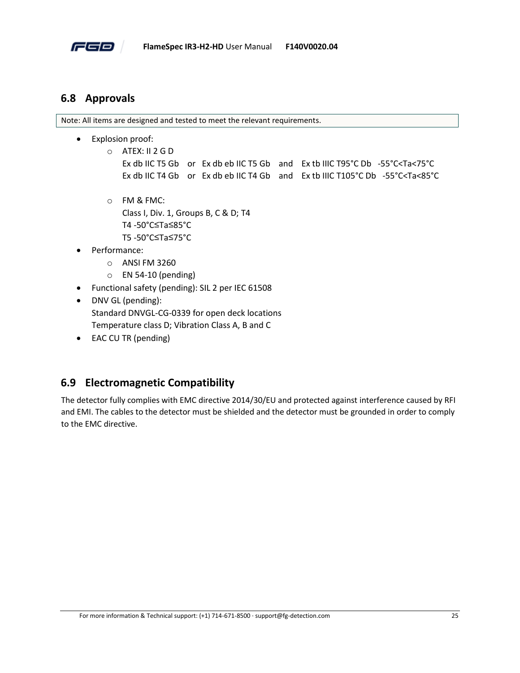

#### <span id="page-29-0"></span>**6.8 Approvals**

Note: All items are designed and tested to meet the relevant requirements.

- Explosion proof:
	- o ATEX: II 2 G D Ex db IIC T5 Gb or Ex db eb IIC T5 Gb and Ex tb IIIC T95°C Db -55°C<Ta<75°C Ex db IIC T4 Gb or Ex db eb IIC T4 Gb and Ex tb IIIC T105°C Db -55°C<Ta<85°C
	- o FM & FMC: Class I, Div. 1, Groups B, C & D; T4 T4 -50°C≤Ta≤85°C T5 -50°C≤Ta≤75°C
- Performance:
	- o ANSI FM 3260
	- o EN 54-10 (pending)
- Functional safety (pending): SIL 2 per IEC 61508
- DNV GL (pending): Standard DNVGL-CG-0339 for open deck locations Temperature class D; Vibration Class A, B and C
- EAC CU TR (pending)

#### <span id="page-29-1"></span>**6.9 Electromagnetic Compatibility**

The detector fully complies with EMC directive 2014/30/EU and protected against interference caused by RFI and EMI. The cables to the detector must be shielded and the detector must be grounded in order to comply to the EMC directive.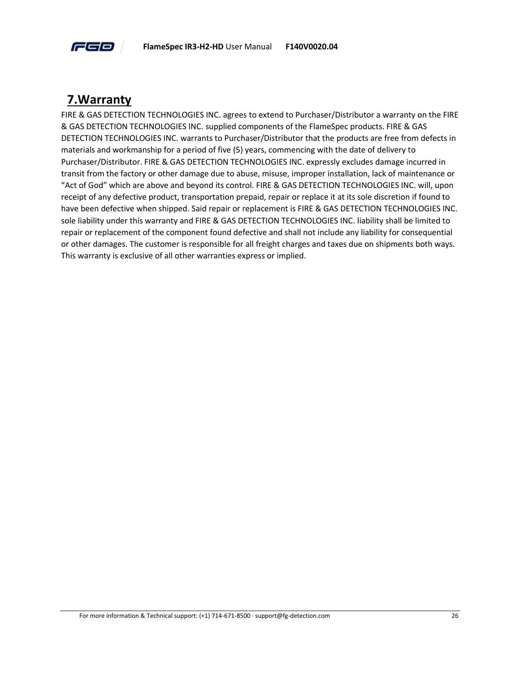

# <span id="page-30-0"></span>**7.Warranty**

FIRE & GAS DETECTION TECHNOLOGIES INC. agrees to extend to Purchaser/Distributor a warranty on the FIRE & GAS DETECTION TECHNOLOGIES INC. supplied components of the FlameSpec products. FIRE & GAS DETECTION TECHNOLOGIES INC. warrants to Purchaser/Distributor that the products are free from defects in materials and workmanship for a period of five (5) years, commencing with the date of delivery to Purchaser/Distributor. FIRE & GAS DETECTION TECHNOLOGIES INC. expressly excludes damage incurred in transit from the factory or other damage due to abuse, misuse, improper installation, lack of maintenance or "Act of God" which are above and beyond its control. FIRE & GAS DETECTION TECHNOLOGIES INC. will, upon receipt of any defective product, transportation prepaid, repair or replace it at its sole discretion if found to have been defective when shipped. Said repair or replacement is FIRE & GAS DETECTION TECHNOLOGIES INC. sole liability under this warranty and FIRE & GAS DETECTION TECHNOLOGIES INC. liability shall be limited to repair or replacement of the component found defective and shall not include any liability for consequential or other damages. The customer is responsible for all freight charges and taxes due on shipments both ways. This warranty is exclusive of all other warranties express or implied.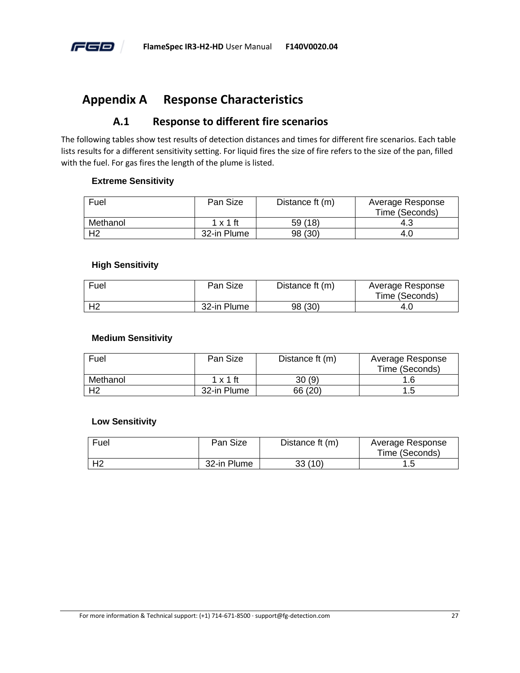

# <span id="page-31-0"></span>**Appendix A Response Characteristics**

#### **A.1 Response to different fire scenarios**

<span id="page-31-1"></span>The following tables show test results of detection distances and times for different fire scenarios. Each table lists results for a different sensitivity setting. For liquid fires the size of fire refers to the size of the pan, filled with the fuel. For gas fires the length of the plume is listed.

#### **Extreme Sensitivity**

| Fuel           | Pan Size        | Distance ft (m) | Average Response |
|----------------|-----------------|-----------------|------------------|
|                |                 |                 | Time (Seconds)   |
| Methanol       | $1 \times 1$ ft | 59 (18)         | 4.3              |
| H <sub>2</sub> | 32-in Plume     | 98 (30)         | 4.O              |

#### **High Sensitivity**

| Fuel | Pan Size    | Distance ft (m) | Average Response<br>Time (Seconds) |
|------|-------------|-----------------|------------------------------------|
|      | 32-in Plume | 98 (30)         | 4.U                                |

#### **Medium Sensitivity**

| Fuel           | Pan Size        | Distance ft (m) | Average Response |
|----------------|-----------------|-----------------|------------------|
|                |                 |                 | Time (Seconds)   |
| Methanol       | $1 \times 1$ ft | 30(9)           | 1.6              |
| H <sub>2</sub> | 32-in Plume     | 66 (20)         | 1 に              |

#### **Low Sensitivity**

| Fuel | Pan Size    | Distance ft (m) | Average Response |
|------|-------------|-----------------|------------------|
|      |             |                 | Time (Seconds)   |
|      | 32-in Plume | 33 (10)         |                  |